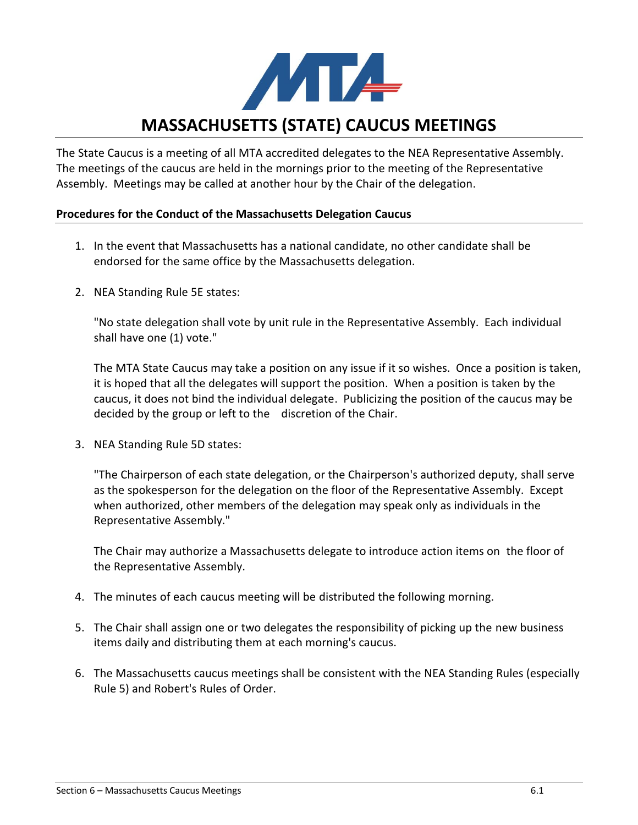

# **MASSACHUSETTS (STATE) CAUCUS MEETINGS**

The State Caucus is a meeting of all MTA accredited delegates to the NEA Representative Assembly. The meetings of the caucus are held in the mornings prior to the meeting of the Representative Assembly. Meetings may be called at another hour by the Chair of the delegation.

# **Procedures for the Conduct of the Massachusetts Delegation Caucus**

- 1. In the event that Massachusetts has a national candidate, no other candidate shall be endorsed for the same office by the Massachusetts delegation.
- 2. NEA Standing Rule 5E states:

"No state delegation shall vote by unit rule in the Representative Assembly. Each individual shall have one (1) vote."

The MTA State Caucus may take a position on any issue if it so wishes. Once a position is taken, it is hoped that all the delegates will support the position. When a position is taken by the caucus, it does not bind the individual delegate. Publicizing the position of the caucus may be decided by the group or left to the discretion of the Chair.

3. NEA Standing Rule 5D states:

"The Chairperson of each state delegation, or the Chairperson's authorized deputy, shall serve as the spokesperson for the delegation on the floor of the Representative Assembly. Except when authorized, other members of the delegation may speak only as individuals in the Representative Assembly."

The Chair may authorize a Massachusetts delegate to introduce action items on the floor of the Representative Assembly.

- 4. The minutes of each caucus meeting will be distributed the following morning.
- 5. The Chair shall assign one or two delegates the responsibility of picking up the new business items daily and distributing them at each morning's caucus.
- 6. The Massachusetts caucus meetings shall be consistent with the NEA Standing Rules (especially Rule 5) and Robert's Rules of Order.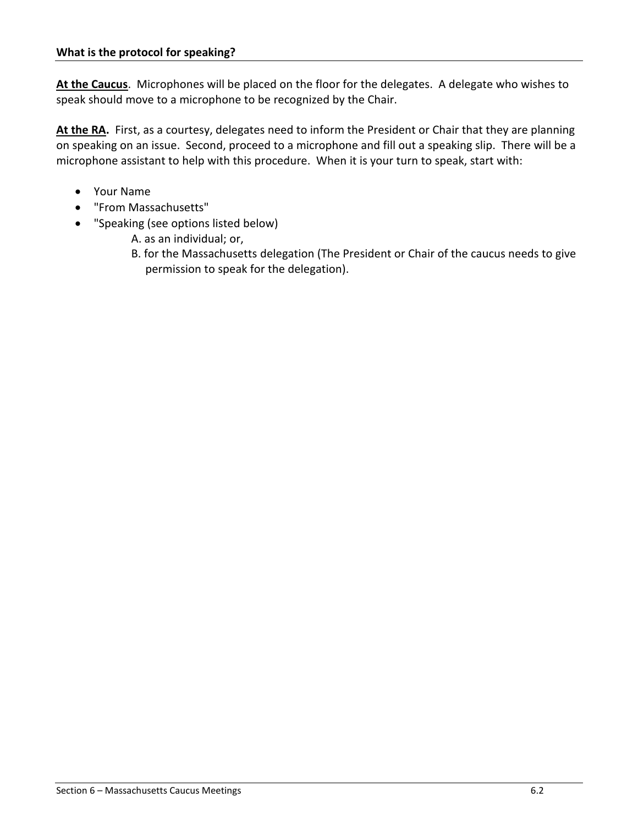**At the Caucus**. Microphones will be placed on the floor for the delegates. A delegate who wishes to speak should move to a microphone to be recognized by the Chair.

At the RA. First, as a courtesy, delegates need to inform the President or Chair that they are planning on speaking on an issue. Second, proceed to a microphone and fill out a speaking slip. There will be a microphone assistant to help with this procedure. When it is your turn to speak, start with:

- Your Name
- "From Massachusetts"
- "Speaking (see options listed below)
	- A. as an individual; or,
	- B. for the Massachusetts delegation (The President or Chair of the caucus needs to give permission to speak for the delegation).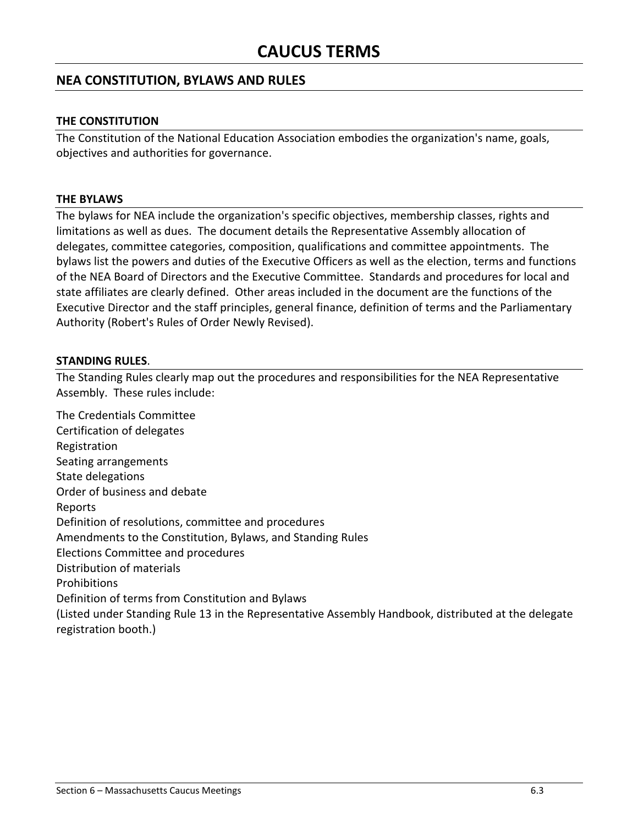# **NEA CONSTITUTION, BYLAWS AND RULES**

#### **THE CONSTITUTION**

The Constitution of the National Education Association embodies the organization's name, goals, objectives and authorities for governance.

#### **THE BYLAWS**

The bylaws for NEA include the organization's specific objectives, membership classes, rights and limitations as well as dues. The document details the Representative Assembly allocation of delegates, committee categories, composition, qualifications and committee appointments. The bylaws list the powers and duties of the Executive Officers as well as the election, terms and functions of the NEA Board of Directors and the Executive Committee. Standards and procedures for local and state affiliates are clearly defined. Other areas included in the document are the functions of the Executive Director and the staff principles, general finance, definition of terms and the Parliamentary Authority (Robert's Rules of Order Newly Revised).

#### **STANDING RULES**.

The Standing Rules clearly map out the procedures and responsibilities for the NEA Representative Assembly. These rules include:

The Credentials Committee Certification of delegates Registration Seating arrangements State delegations Order of business and debate Reports Definition of resolutions, committee and procedures Amendments to the Constitution, Bylaws, and Standing Rules Elections Committee and procedures Distribution of materials Prohibitions Definition of terms from Constitution and Bylaws (Listed under Standing Rule 13 in the Representative Assembly Handbook, distributed at the delegate registration booth.)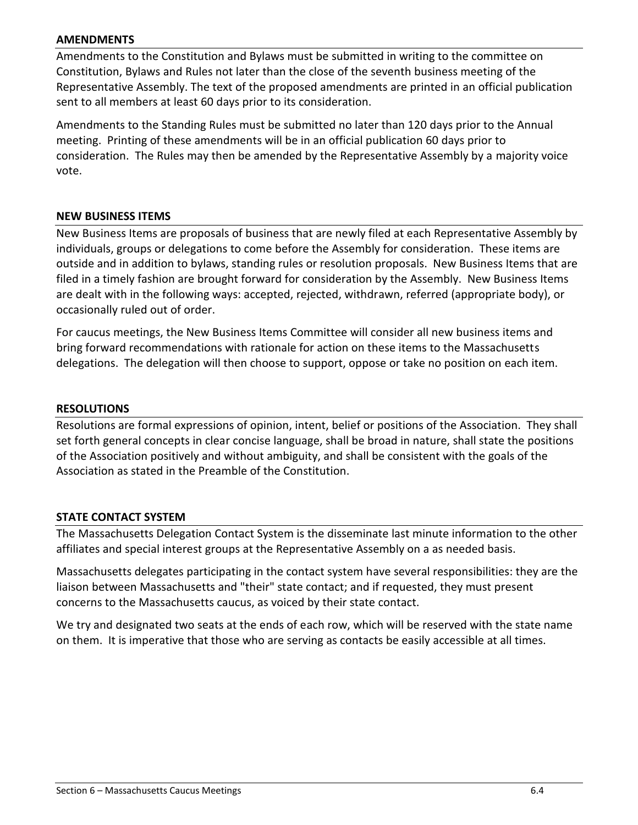#### **AMENDMENTS**

Amendments to the Constitution and Bylaws must be submitted in writing to the committee on Constitution, Bylaws and Rules not later than the close of the seventh business meeting of the Representative Assembly. The text of the proposed amendments are printed in an official publication sent to all members at least 60 days prior to its consideration.

Amendments to the Standing Rules must be submitted no later than 120 days prior to the Annual meeting. Printing of these amendments will be in an official publication 60 days prior to consideration. The Rules may then be amended by the Representative Assembly by a majority voice vote.

#### **NEW BUSINESS ITEMS**

New Business Items are proposals of business that are newly filed at each Representative Assembly by individuals, groups or delegations to come before the Assembly for consideration. These items are outside and in addition to bylaws, standing rules or resolution proposals. New Business Items that are filed in a timely fashion are brought forward for consideration by the Assembly. New Business Items are dealt with in the following ways: accepted, rejected, withdrawn, referred (appropriate body), or occasionally ruled out of order.

For caucus meetings, the New Business Items Committee will consider all new business items and bring forward recommendations with rationale for action on these items to the Massachusetts delegations. The delegation will then choose to support, oppose or take no position on each item.

#### **RESOLUTIONS**

Resolutions are formal expressions of opinion, intent, belief or positions of the Association. They shall set forth general concepts in clear concise language, shall be broad in nature, shall state the positions of the Association positively and without ambiguity, and shall be consistent with the goals of the Association as stated in the Preamble of the Constitution.

#### **STATE CONTACT SYSTEM**

The Massachusetts Delegation Contact System is the disseminate last minute information to the other affiliates and special interest groups at the Representative Assembly on a as needed basis.

Massachusetts delegates participating in the contact system have several responsibilities: they are the liaison between Massachusetts and "their" state contact; and if requested, they must present concerns to the Massachusetts caucus, as voiced by their state contact.

We try and designated two seats at the ends of each row, which will be reserved with the state name on them. It is imperative that those who are serving as contacts be easily accessible at all times.